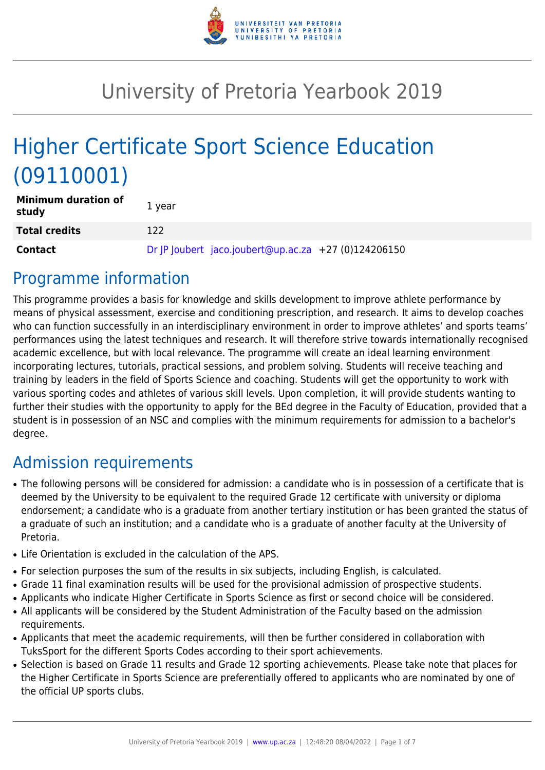

# University of Pretoria Yearbook 2019

# Higher Certificate Sport Science Education (09110001)

| <b>Minimum duration of</b><br>study | 1 year                                               |  |
|-------------------------------------|------------------------------------------------------|--|
| <b>Total credits</b>                | 122                                                  |  |
| <b>Contact</b>                      | Dr  P  oubert jaco.joubert@up.ac.za +27 (0)124206150 |  |

# Programme information

This programme provides a basis for knowledge and skills development to improve athlete performance by means of physical assessment, exercise and conditioning prescription, and research. It aims to develop coaches who can function successfully in an interdisciplinary environment in order to improve athletes' and sports teams' performances using the latest techniques and research. It will therefore strive towards internationally recognised academic excellence, but with local relevance. The programme will create an ideal learning environment incorporating lectures, tutorials, practical sessions, and problem solving. Students will receive teaching and training by leaders in the field of Sports Science and coaching. Students will get the opportunity to work with various sporting codes and athletes of various skill levels. Upon completion, it will provide students wanting to further their studies with the opportunity to apply for the BEd degree in the Faculty of Education, provided that a student is in possession of an NSC and complies with the minimum requirements for admission to a bachelor's degree.

# Admission requirements

- The following persons will be considered for admission: a candidate who is in possession of a certificate that is deemed by the University to be equivalent to the required Grade 12 certificate with university or diploma endorsement; a candidate who is a graduate from another tertiary institution or has been granted the status of a graduate of such an institution; and a candidate who is a graduate of another faculty at the University of Pretoria.
- Life Orientation is excluded in the calculation of the APS.
- For selection purposes the sum of the results in six subjects, including English, is calculated.
- Grade 11 final examination results will be used for the provisional admission of prospective students.
- Applicants who indicate Higher Certificate in Sports Science as first or second choice will be considered.
- All applicants will be considered by the Student Administration of the Faculty based on the admission requirements.
- Applicants that meet the academic requirements, will then be further considered in collaboration with TuksSport for the different Sports Codes according to their sport achievements.
- Selection is based on Grade 11 results and Grade 12 sporting achievements. Please take note that places for the Higher Certificate in Sports Science are preferentially offered to applicants who are nominated by one of the official UP sports clubs.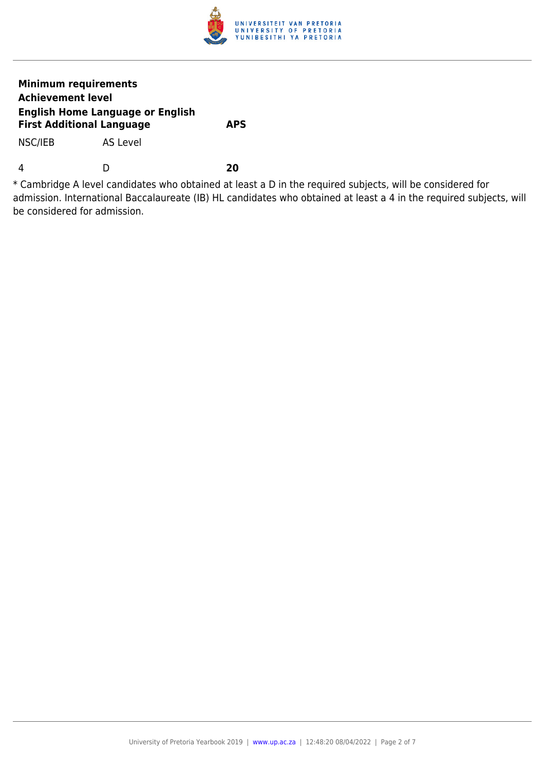

### **Minimum requirements Achievement level English Home Language or English First Additional Language APS**

NSC/IEB AS Level

4 D **20**

\* Cambridge A level candidates who obtained at least a D in the required subjects, will be considered for admission. International Baccalaureate (IB) HL candidates who obtained at least a 4 in the required subjects, will be considered for admission.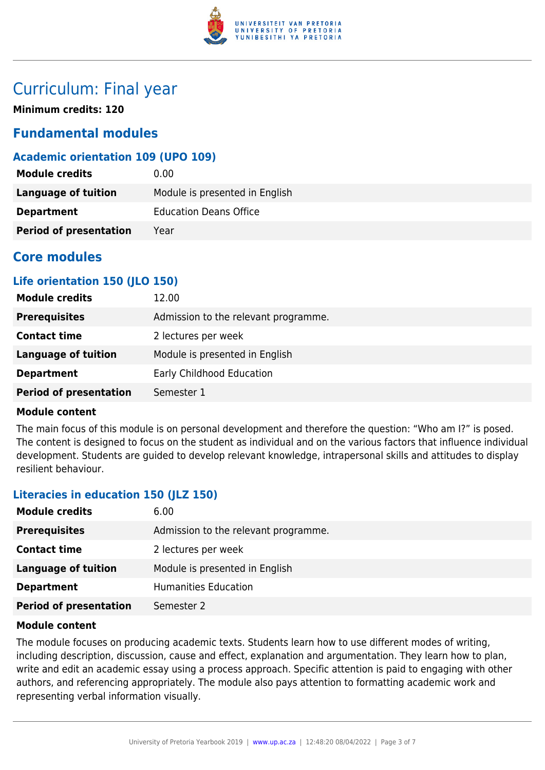

# Curriculum: Final year

**Minimum credits: 120**

# **Fundamental modules**

# **Academic orientation 109 (UPO 109)**

| <b>Module credits</b>         | 0.00                           |
|-------------------------------|--------------------------------|
| Language of tuition           | Module is presented in English |
| <b>Department</b>             | <b>Education Deans Office</b>  |
| <b>Period of presentation</b> | Year                           |

# **Core modules**

# **Life orientation 150 (JLO 150)**

| 12.00                                |
|--------------------------------------|
| Admission to the relevant programme. |
| 2 lectures per week                  |
| Module is presented in English       |
| Early Childhood Education            |
| Semester 1                           |
|                                      |

#### **Module content**

The main focus of this module is on personal development and therefore the question: "Who am I?" is posed. The content is designed to focus on the student as individual and on the various factors that influence individual development. Students are guided to develop relevant knowledge, intrapersonal skills and attitudes to display resilient behaviour.

# **Literacies in education 150 (JLZ 150)**

| <b>Module credits</b>         | 6.00                                 |
|-------------------------------|--------------------------------------|
| <b>Prerequisites</b>          | Admission to the relevant programme. |
| <b>Contact time</b>           | 2 lectures per week                  |
| <b>Language of tuition</b>    | Module is presented in English       |
| <b>Department</b>             | <b>Humanities Education</b>          |
| <b>Period of presentation</b> | Semester 2                           |

#### **Module content**

The module focuses on producing academic texts. Students learn how to use different modes of writing, including description, discussion, cause and effect, explanation and argumentation. They learn how to plan, write and edit an academic essay using a process approach. Specific attention is paid to engaging with other authors, and referencing appropriately. The module also pays attention to formatting academic work and representing verbal information visually.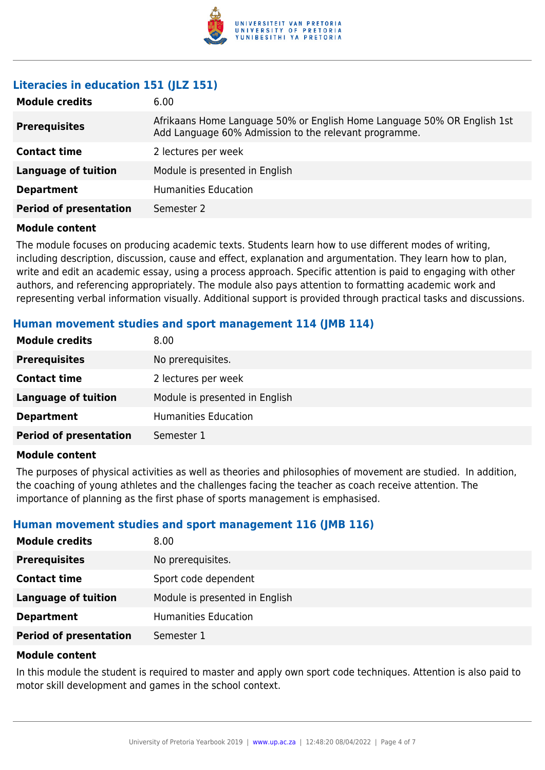

# **Literacies in education 151 (JLZ 151)**

| <b>Module credits</b>         | 6.00                                                                                                                             |
|-------------------------------|----------------------------------------------------------------------------------------------------------------------------------|
| <b>Prerequisites</b>          | Afrikaans Home Language 50% or English Home Language 50% OR English 1st<br>Add Language 60% Admission to the relevant programme. |
| <b>Contact time</b>           | 2 lectures per week                                                                                                              |
| <b>Language of tuition</b>    | Module is presented in English                                                                                                   |
| <b>Department</b>             | <b>Humanities Education</b>                                                                                                      |
| <b>Period of presentation</b> | Semester 2                                                                                                                       |

#### **Module content**

The module focuses on producing academic texts. Students learn how to use different modes of writing, including description, discussion, cause and effect, explanation and argumentation. They learn how to plan, write and edit an academic essay, using a process approach. Specific attention is paid to engaging with other authors, and referencing appropriately. The module also pays attention to formatting academic work and representing verbal information visually. Additional support is provided through practical tasks and discussions.

#### **Human movement studies and sport management 114 (JMB 114)**

| <b>Module credits</b>         | 8.00                           |
|-------------------------------|--------------------------------|
| <b>Prerequisites</b>          | No prerequisites.              |
| <b>Contact time</b>           | 2 lectures per week            |
| <b>Language of tuition</b>    | Module is presented in English |
| <b>Department</b>             | <b>Humanities Education</b>    |
| <b>Period of presentation</b> | Semester 1                     |
|                               |                                |

#### **Module content**

The purposes of physical activities as well as theories and philosophies of movement are studied. In addition, the coaching of young athletes and the challenges facing the teacher as coach receive attention. The importance of planning as the first phase of sports management is emphasised.

# **Human movement studies and sport management 116 (JMB 116)**

| <b>Module credits</b>         | 8.00                           |
|-------------------------------|--------------------------------|
| <b>Prerequisites</b>          | No prerequisites.              |
| <b>Contact time</b>           | Sport code dependent           |
| <b>Language of tuition</b>    | Module is presented in English |
| <b>Department</b>             | <b>Humanities Education</b>    |
| <b>Period of presentation</b> | Semester 1                     |

#### **Module content**

In this module the student is required to master and apply own sport code techniques. Attention is also paid to motor skill development and games in the school context.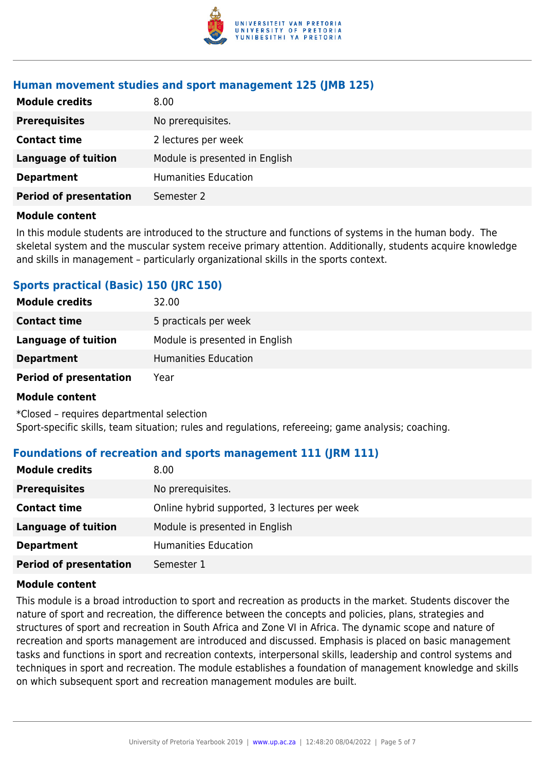

### **Human movement studies and sport management 125 (JMB 125)**

| <b>Module credits</b>         | 8.00                           |
|-------------------------------|--------------------------------|
| <b>Prerequisites</b>          | No prerequisites.              |
| <b>Contact time</b>           | 2 lectures per week            |
| <b>Language of tuition</b>    | Module is presented in English |
| <b>Department</b>             | <b>Humanities Education</b>    |
| <b>Period of presentation</b> | Semester 2                     |

#### **Module content**

In this module students are introduced to the structure and functions of systems in the human body. The skeletal system and the muscular system receive primary attention. Additionally, students acquire knowledge and skills in management – particularly organizational skills in the sports context.

### **Sports practical (Basic) 150 (JRC 150)**

| <b>Module credits</b>         | 32.00                          |
|-------------------------------|--------------------------------|
| <b>Contact time</b>           | 5 practicals per week          |
| Language of tuition           | Module is presented in English |
| <b>Department</b>             | Humanities Education           |
| <b>Period of presentation</b> | Year                           |

#### **Module content**

\*Closed – requires departmental selection Sport-specific skills, team situation; rules and regulations, refereeing; game analysis; coaching.

#### **Foundations of recreation and sports management 111 (JRM 111)**

| <b>Module credits</b>         | 8.00                                         |
|-------------------------------|----------------------------------------------|
| <b>Prerequisites</b>          | No prerequisites.                            |
| <b>Contact time</b>           | Online hybrid supported, 3 lectures per week |
| Language of tuition           | Module is presented in English               |
| <b>Department</b>             | <b>Humanities Education</b>                  |
| <b>Period of presentation</b> | Semester 1                                   |

#### **Module content**

This module is a broad introduction to sport and recreation as products in the market. Students discover the nature of sport and recreation, the difference between the concepts and policies, plans, strategies and structures of sport and recreation in South Africa and Zone VI in Africa. The dynamic scope and nature of recreation and sports management are introduced and discussed. Emphasis is placed on basic management tasks and functions in sport and recreation contexts, interpersonal skills, leadership and control systems and techniques in sport and recreation. The module establishes a foundation of management knowledge and skills on which subsequent sport and recreation management modules are built.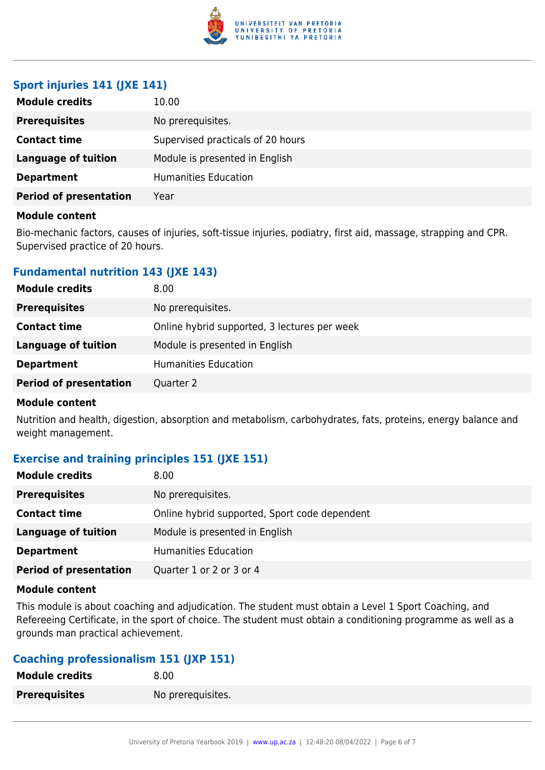

# **Sport injuries 141 (JXE 141)**

| <b>Module credits</b>         | 10.00                             |
|-------------------------------|-----------------------------------|
| <b>Prerequisites</b>          | No prerequisites.                 |
| <b>Contact time</b>           | Supervised practicals of 20 hours |
| <b>Language of tuition</b>    | Module is presented in English    |
| <b>Department</b>             | Humanities Education              |
| <b>Period of presentation</b> | Year                              |

#### **Module content**

Bio-mechanic factors, causes of injuries, soft-tissue injuries, podiatry, first aid, massage, strapping and CPR. Supervised practice of 20 hours.

# **Fundamental nutrition 143 (JXE 143)**

| <b>Module credits</b>         | 8.00                                         |
|-------------------------------|----------------------------------------------|
| <b>Prerequisites</b>          | No prerequisites.                            |
| <b>Contact time</b>           | Online hybrid supported, 3 lectures per week |
| Language of tuition           | Module is presented in English               |
| <b>Department</b>             | <b>Humanities Education</b>                  |
| <b>Period of presentation</b> | Quarter 2                                    |

#### **Module content**

Nutrition and health, digestion, absorption and metabolism, carbohydrates, fats, proteins, energy balance and weight management.

# **Exercise and training principles 151 (JXE 151)**

| <b>Module credits</b>         | 8.00                                          |
|-------------------------------|-----------------------------------------------|
| <b>Prerequisites</b>          | No prerequisites.                             |
| <b>Contact time</b>           | Online hybrid supported, Sport code dependent |
| Language of tuition           | Module is presented in English                |
| <b>Department</b>             | <b>Humanities Education</b>                   |
| <b>Period of presentation</b> | Quarter 1 or 2 or 3 or 4                      |

#### **Module content**

This module is about coaching and adjudication. The student must obtain a Level 1 Sport Coaching, and Refereeing Certificate, in the sport of choice. The student must obtain a conditioning programme as well as a grounds man practical achievement.

# **Coaching professionalism 151 (JXP 151)**

| <b>Module credits</b> | 8.00              |
|-----------------------|-------------------|
| <b>Prerequisites</b>  | No prerequisites. |